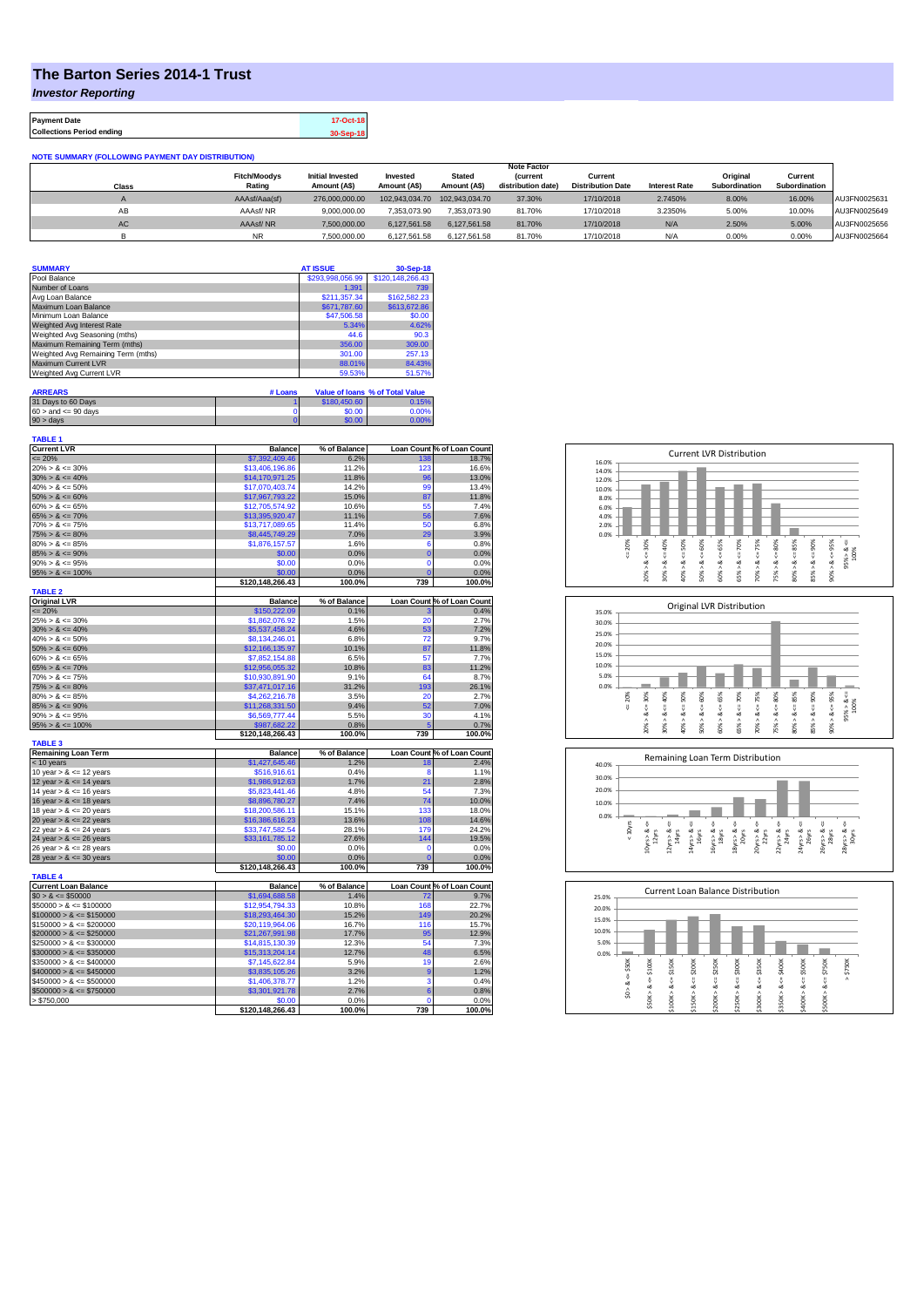## **The Barton Series 2014-1 Trust**

*Investor Reporting*

**Payment Date 17-Oct-18 Collections Period ending 30-Sep-18**

| <b>NOTE SUMMARY (FOLLOWING PAYMENT DAY DISTRIBUTION)</b> |                     |                         |                |                |                    |                          |                      |               |               |              |
|----------------------------------------------------------|---------------------|-------------------------|----------------|----------------|--------------------|--------------------------|----------------------|---------------|---------------|--------------|
|                                                          | <b>Note Factor</b>  |                         |                |                |                    |                          |                      |               |               |              |
|                                                          | <b>Fitch/Moodys</b> | <b>Initial Invested</b> | Invested       | <b>Stated</b>  | <b>Current</b>     | Current                  |                      | Original      | Current       |              |
| Class                                                    | Rating              | Amount (A\$)            | Amount (A\$)   | Amount (A\$)   | distribution date) | <b>Distribution Date</b> | <b>Interest Rate</b> | Subordination | Subordination |              |
|                                                          | AAAsf/Aaa(sf)       | 276,000,000,00          | 102.943.034.70 | 102.943.034.70 | 37.30%             | 17/10/2018               | 2.7450%              | 8.00%         | 16.00%        | AU3FN0025631 |
| AB                                                       | AAAsf/NR            | 9.000.000.00            | 7.353.073.90   | 7.353.073.90   | 81.70%             | 17/10/2018               | 3.2350%              | 5.00%         | 10.00%        | AU3FN0025649 |
| AC                                                       | AAAsf/NR            | 7.500.000.00            | 6.127.561.58   | 6.127.561.58   | 81.70%             | 17/10/2018               | N/A                  | 2.50%         | 5.00%         | AU3FN0025656 |
|                                                          | <b>NR</b>           | 7.500.000.00            | 6.127.561.58   | 6.127.561.58   | 81.70%             | 17/10/2018               | N/A                  | 0.00%         | 0.00%         | AU3FN0025664 |

| <b>SUMMARY</b>                     |         | <b>AT ISSUE</b>  | 30-Sep-18                       |
|------------------------------------|---------|------------------|---------------------------------|
| Pool Balance                       |         | \$293,998,056.99 | \$120,148,266,43                |
| Number of Loans                    |         | 1.391            | 739                             |
| Avg Loan Balance                   |         | \$211,357.34     | \$162,582.23                    |
| Maximum Loan Balance               |         | \$671,787.60     | \$613,672.86                    |
| Minimum Loan Balance               |         | \$47,506.58      | \$0.00                          |
| Weighted Avg Interest Rate         |         | 5.34%            | 4.62%                           |
| Weighted Avg Seasoning (mths)      |         | 44.6             | 90.3                            |
| Maximum Remaining Term (mths)      |         | 356.00           | 309.00                          |
| Weighted Avg Remaining Term (mths) |         | 301.00           | 257.13                          |
| Maximum Current LVR                |         | 88.01%           | 84.43%                          |
| Weighted Avg Current LVR           |         | 59.53%           | 51.57%                          |
| <b>ARREARS</b>                     | # Loans |                  | Value of Ioans % of Total Value |

| 31 Days to 60 Days        | \$180,450.60 | 0.15% |
|---------------------------|--------------|-------|
| $60 >$ and $\leq 90$ days | \$0.00       | 0.00% |
| $90 >$ days               | \$0.00       | 7.00% |

| <b>TABLE 1</b><br><b>Current LVR</b>  | <b>Balance</b>   | % of Balance   |                | Loan Count % of Loan Count |
|---------------------------------------|------------------|----------------|----------------|----------------------------|
| $\leq$ 20%                            | \$7,392,409.46   |                | 138            |                            |
| $20\% > 8 \le 30\%$                   | \$13,406,196.86  | 6.2%<br>11.2%  | 123            | 18.7%<br>16.6%             |
| $30\% > 8 \le 40\%$                   | \$14,170,971.25  | 11.8%          | 96             | 13.0%                      |
| $40\% > 8 \le 50\%$                   | \$17,070,403.74  | 14.2%          | 99             | 13.4%                      |
| $50\% > 8 \le 60\%$                   |                  | 15.0%          | 87             | 11.8%                      |
| $60\% > 8 \le 65\%$                   | \$17,967,793.22  |                | 55             | 7.4%                       |
|                                       | \$12,705,574.92  | 10.6%          |                |                            |
| $65\% > 8 \le 70\%$                   | \$13,395,920.47  | 11.1%          | 56             | 7.6%                       |
| $70\% > 8 \le 75\%$                   | \$13,717,089.65  | 11.4%          | 50             | 6.8%                       |
| $75\% > 8 \le 80\%$                   | \$8,445,749.29   | 7.0%           | 29             | 3.9%                       |
| $80\% > 8 \le 85\%$                   | \$1,876,157.57   | 1.6%           | 6              | 0.8%                       |
| $85\% > 8 \le 90\%$                   | \$0.00           | 0.0%           | $\overline{0}$ | 0.0%                       |
| $90\% > 8 \le 95\%$                   | \$0.00           | 0.0%           | 0              | 0.0%                       |
| $95\% > 8 \le 100\%$                  | \$0.00           | 0.0%           | r              | 0.0%                       |
|                                       | \$120,148,266.43 | 100.0%         | 739            | 100.0%                     |
| <b>TABLE 2</b><br><b>Original LVR</b> | <b>Balance</b>   | % of Balance   |                | Loan Count % of Loan Count |
| $= 20%$                               | \$150,222.09     | 0.1%           |                | 0.4%                       |
| $25\% > 8 \le 30\%$                   | \$1,862,076.92   | 1.5%           | 20             | 2.7%                       |
| $30\% > 8 \le 40\%$                   | \$5,537,458.24   | 4.6%           | 53             | 7.2%                       |
| $40\% > 8 \le 50\%$                   |                  |                |                | 9.7%                       |
|                                       | \$8,134,246.01   | 6.8%           | 72             |                            |
| $50\% > 8 \le 60\%$                   | \$12,166,135.97  | 10.1%          | 87             | 11.8%                      |
| $60\% > 8 \le 65\%$                   | \$7,852,154.88   | 6.5%           | 57             | 7.7%                       |
| $65\% > 8 \le 70\%$                   | \$12,956,055.32  | 10.8%          | 83             | 11.2%                      |
| $70\% > 8 \le 75\%$                   | \$10,930,891.90  | 9.1%           | 64             | 8.7%                       |
| $75\% > 8 \le 80\%$                   | \$37,471,017.16  | 31.2%          | 193            | 26.1%                      |
| $80\% > 8 \le 85\%$                   | \$4,262,216,78   | 3.5%           | 20             | 2.7%                       |
| $85\% > 8 \le 90\%$                   | \$11,268,331.50  | 9.4%           | 52             | 7.0%                       |
| $90\% > 8 \le 95\%$                   | \$6,569,777.44   | 5.5%           | 30             | 4.1%                       |
| $95\% > 8 \le 100\%$                  | \$987.682.22     | 0.8%           | 5              | 0.7%                       |
| <b>TABLE 3</b>                        | \$120,148,266.43 | 100.0%         | 739            | 100.0%                     |
| <b>Remaining Loan Term</b>            | <b>Balance</b>   | % of Balance   |                | Loan Count % of Loan Count |
| < 10 years                            | \$1,427,645.46   | 1.2%           | 18             | 2.4%                       |
| 10 year $> 8 \le 12$ years            | \$516,916.61     | 0.4%           | 8              | 1.1%                       |
| 12 year $> 8 \le 14$ years            | \$1,986,912.63   | 1.7%           | 21             | 2.8%                       |
| 14 year $> 8 \le 16$ years            | \$5,823,441.46   | 4.8%           | 54             | 7.3%                       |
| 16 year $> 8 \le 18$ years            | \$8,896,780.27   | 7.4%           | 74             | 10.0%                      |
| 18 year $> 8 \le 20$ years            | \$18,200,586.11  | 15.1%          | 133            | 18.0%                      |
| 20 year $> 8 \le 22$ years            | \$16,386,616.23  | 13.6%          | 108            | 14.6%                      |
| 22 year $> 8 \le 24$ years            | \$33,747,582.54  | 28.1%          | <b>179</b>     | 24.2%                      |
|                                       | \$33,161,785.12  | 27.6%          | 144            | 19.5%                      |
| 24 year $> 8 \le 26$ years            | \$0.00           | 0.0%           | 0              | 0.0%                       |
| 26 year $> 8 \le 28$ years            | \$0.00           |                | O              | 0.0%                       |
| 28 year $> 8 \le 30$ years            | \$120,148,266.43 | 0.0%<br>100.0% | 739            | 100.0%                     |
| <b>TABLE 4</b>                        |                  |                |                |                            |
| <b>Current Loan Balance</b>           | <b>Balance</b>   | % of Balance   |                | Loan Count % of Loan Count |
| $$0 > 8 \le $50000$                   | \$1,694,688.58   | 1.4%           | 72             | 9.7%                       |
| $$50000 > 8 \le $100000$              | \$12,954,794.33  | 10.8%          | 168            | 22.7%                      |
| $$100000 > 8 \leq $150000$            | \$18,293,464.30  | 15.2%          | 149            | 20.2%                      |
| $$150000 > 8 \leq $200000$            | \$20,119,964.06  | 16.7%          | 116            | 15.7%                      |
| $$200000 > 8 \leq $250000$            | \$21,267,991.98  | 17.7%          | 95             | 12.9%                      |
| $$250000 > 8 \leq $300000$            | \$14,815,130.39  | 12.3%          | 54             | 7.3%                       |
|                                       |                  |                | 48             |                            |
| $$300000 > 8 \leq $350000$            | \$15,313,204.14  | 12.7%          |                | 6.5%                       |
| $$350000 > 8 \le $400000$             | \$7,145,622.84   | 5.9%           | 19             | 2.6%                       |
| $$400000 > 8 \le $450000$             | \$3,835,105.26   | 3.2%           | 9              | 1.2%                       |
| $$450000 > 8 \le $500000$             | \$1,406,378.77   | 1.2%           | 3              | 0.4%                       |
| $$500000 > 8 \le $750000$             | \$3,301,921.78   | 2.7%           | 6              | 0.8%                       |
| > \$750,000                           | \$0.00           | 0.0%           | $\mathbf 0$    | 0.0%                       |
|                                       | \$120,148,266.43 | 100.0%         | 739            | 100.0%                     |







| 25.0%                      |                           | <b>Current Loan Balance Distribution</b> |                                 |                                      |                             |                            |                            |                            |                             |             |
|----------------------------|---------------------------|------------------------------------------|---------------------------------|--------------------------------------|-----------------------------|----------------------------|----------------------------|----------------------------|-----------------------------|-------------|
| 20.0%                      |                           |                                          |                                 |                                      |                             |                            |                            |                            |                             |             |
| 15.0%                      |                           |                                          |                                 |                                      |                             |                            |                            |                            |                             |             |
| 10.0%                      |                           |                                          |                                 |                                      |                             |                            |                            |                            |                             |             |
| 5.0%                       |                           |                                          |                                 |                                      |                             |                            |                            |                            |                             |             |
| 0.0%                       |                           |                                          |                                 |                                      |                             |                            |                            |                            |                             |             |
| \$50K<br>ő<br>త<br>Λ<br>S. | \$100K<br>ಯ<br>٨<br>\$50K | \$150K<br>ű<br>œ<br>Λ<br>\$100K          | \$200K<br>V<br>∞<br>٨<br>\$150K | \$250K<br>п<br>ÿ<br>œ<br>۸<br>\$200K | \$300K<br>ű<br>∞<br>\$250K> | \$350K<br>œ<br>Λ<br>\$300K | $4 = $400K$<br>∞<br>\$350K | \$500K<br>œ<br>л<br>\$400K | \$750K<br>V<br>∞<br>\$500K> | \$750K<br>٨ |